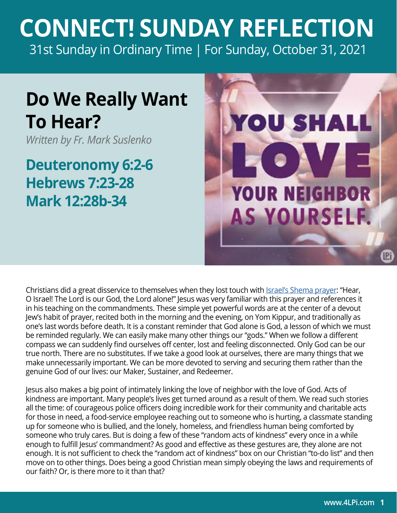## **CONNECT! SUNDAY REFLECTION** [31st Sunday in Ordinary Time | For Sunday, October 31, 2021](https://bible.usccb.org/bible/readings/103121.cfm)

## **Do We Really Want To Hear?**

*Written by Fr. Mark Suslenko*

**Deuteronomy 6:2-6 Hebrews 7:23-28 Mark 12:28b-34**



Christians did a great disservice to themselves when they lost touch with *Israel's Shema prayer*: "Hear, O Israel! The Lord is our God, the Lord alone!" Jesus was very familiar with this prayer and references it in his teaching on the commandments. These simple yet powerful words are at the center of a devout Jew's habit of prayer, recited both in the morning and the evening, on Yom Kippur, and traditionally as one's last words before death. It is a constant reminder that God alone is God, a lesson of which we must be reminded regularly. We can easily make many other things our "gods." When we follow a different compass we can suddenly find ourselves off center, lost and feeling disconnected. Only God can be our true north. There are no substitutes. If we take a good look at ourselves, there are many things that we make unnecessarily important. We can be more devoted to serving and securing them rather than the genuine God of our lives: our Maker, Sustainer, and Redeemer.

Jesus also makes a big point of intimately linking the love of neighbor with the love of God. Acts of kindness are important. Many people's lives get turned around as a result of them. We read such stories all the time: of courageous police officers doing incredible work for their community and charitable acts for those in need, a food-service employee reaching out to someone who is hurting, a classmate standing up for someone who is bullied, and the lonely, homeless, and friendless human being comforted by someone who truly cares. But is doing a few of these "random acts of kindness" every once in a while enough to fulfill Jesus' commandment? As good and effective as these gestures are, they alone are not enough. It is not sufficient to check the "random act of kindness" box on our Christian "to-do list" and then move on to other things. Does being a good Christian mean simply obeying the laws and requirements of our faith? Or, is there more to it than that?